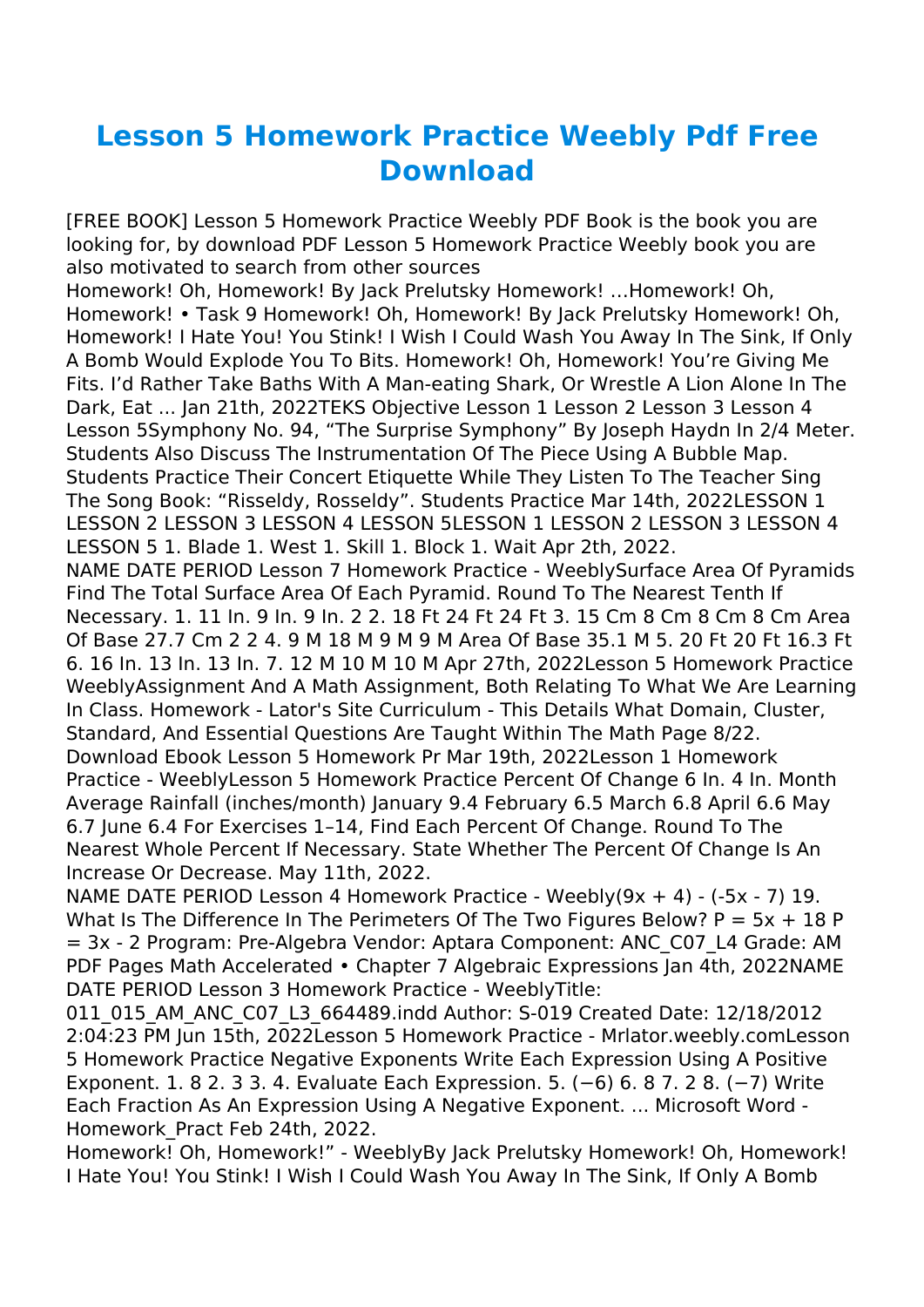## **Lesson 5 Homework Practice Weebly Pdf Free Download**

[FREE BOOK] Lesson 5 Homework Practice Weebly PDF Book is the book you are looking for, by download PDF Lesson 5 Homework Practice Weebly book you are also motivated to search from other sources

Homework! Oh, Homework! By Jack Prelutsky Homework! …Homework! Oh, Homework! • Task 9 Homework! Oh, Homework! By Jack Prelutsky Homework! Oh, Homework! I Hate You! You Stink! I Wish I Could Wash You Away In The Sink, If Only A Bomb Would Explode You To Bits. Homework! Oh, Homework! You're Giving Me Fits. I'd Rather Take Baths With A Man-eating Shark, Or Wrestle A Lion Alone In The Dark, Eat ... Jan 21th, 2022TEKS Objective Lesson 1 Lesson 2 Lesson 3 Lesson 4 Lesson 5Symphony No. 94, "The Surprise Symphony" By Joseph Haydn In 2/4 Meter. Students Also Discuss The Instrumentation Of The Piece Using A Bubble Map. Students Practice Their Concert Etiquette While They Listen To The Teacher Sing The Song Book: "Risseldy, Rosseldy". Students Practice Mar 14th, 2022LESSON 1 LESSON 2 LESSON 3 LESSON 4 LESSON 5LESSON 1 LESSON 2 LESSON 3 LESSON 4 LESSON 5 1. Blade 1. West 1. Skill 1. Block 1. Wait Apr 2th, 2022.

NAME DATE PERIOD Lesson 7 Homework Practice - WeeblySurface Area Of Pyramids Find The Total Surface Area Of Each Pyramid. Round To The Nearest Tenth If Necessary. 1. 11 In. 9 In. 9 In. 2 2. 18 Ft 24 Ft 24 Ft 3. 15 Cm 8 Cm 8 Cm 8 Cm Area Of Base 27.7 Cm 2 2 4. 9 M 18 M 9 M 9 M Area Of Base 35.1 M 5. 20 Ft 20 Ft 16.3 Ft 6. 16 In. 13 In. 13 In. 7. 12 M 10 M 10 M Apr 27th, 2022Lesson 5 Homework Practice WeeblyAssignment And A Math Assignment, Both Relating To What We Are Learning In Class. Homework - Lator's Site Curriculum - This Details What Domain, Cluster, Standard, And Essential Questions Are Taught Within The Math Page 8/22. Download Ebook Lesson 5 Homework Pr Mar 19th, 2022Lesson 1 Homework Practice - WeeblyLesson 5 Homework Practice Percent Of Change 6 In. 4 In. Month Average Rainfall (inches/month) January 9.4 February 6.5 March 6.8 April 6.6 May 6.7 June 6.4 For Exercises 1–14, Find Each Percent Of Change. Round To The Nearest Whole Percent If Necessary. State Whether The Percent Of Change Is An Increase Or Decrease. May 11th, 2022.

NAME DATE PERIOD Lesson 4 Homework Practice - Weebly(9x + 4) - (-5x - 7) 19. What Is The Difference In The Perimeters Of The Two Figures Below?  $P = 5x + 18P$ = 3x - 2 Program: Pre-Algebra Vendor: Aptara Component: ANC\_C07\_L4 Grade: AM PDF Pages Math Accelerated • Chapter 7 Algebraic Expressions Jan 4th, 2022NAME DATE PERIOD Lesson 3 Homework Practice - WeeblyTitle:

011\_015\_AM\_ANC\_C07\_L3\_664489.indd Author: S-019 Created Date: 12/18/2012 2:04:23 PM Jun 15th, 2022Lesson 5 Homework Practice - Mrlator.weebly.comLesson 5 Homework Practice Negative Exponents Write Each Expression Using A Positive Exponent. 1. 8 2. 3 3. 4. Evaluate Each Expression. 5. (−6) 6. 8 7. 2 8. (−7) Write Each Fraction As An Expression Using A Negative Exponent. ... Microsoft Word - Homework\_Pract Feb 24th, 2022.

Homework! Oh, Homework!" - WeeblyBy Jack Prelutsky Homework! Oh, Homework! I Hate You! You Stink! I Wish I Could Wash You Away In The Sink, If Only A Bomb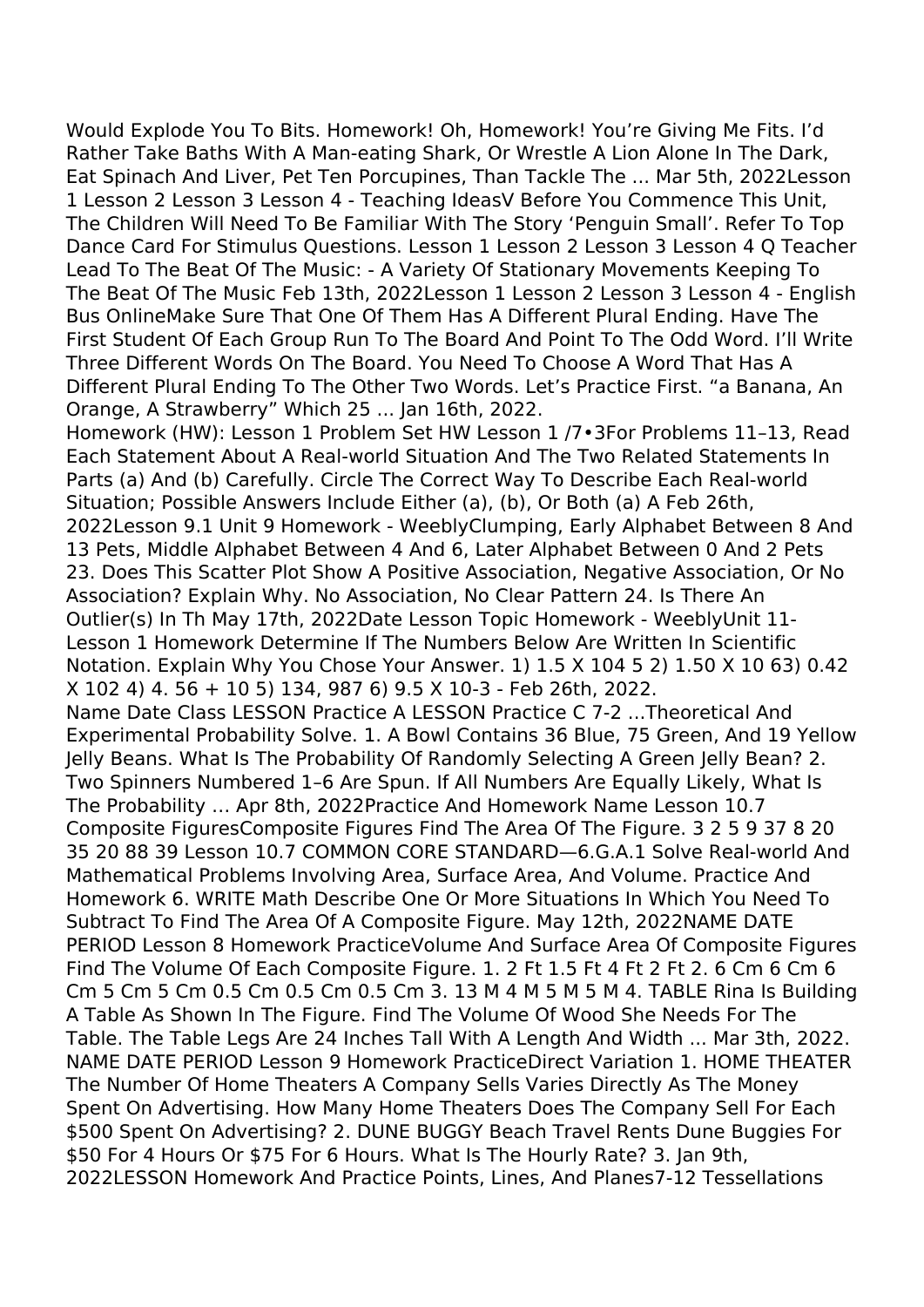Would Explode You To Bits. Homework! Oh, Homework! You're Giving Me Fits. I'd Rather Take Baths With A Man-eating Shark, Or Wrestle A Lion Alone In The Dark, Eat Spinach And Liver, Pet Ten Porcupines, Than Tackle The ... Mar 5th, 2022Lesson 1 Lesson 2 Lesson 3 Lesson 4 - Teaching IdeasV Before You Commence This Unit, The Children Will Need To Be Familiar With The Story 'Penguin Small'. Refer To Top Dance Card For Stimulus Questions. Lesson 1 Lesson 2 Lesson 3 Lesson 4 Q Teacher Lead To The Beat Of The Music: - A Variety Of Stationary Movements Keeping To The Beat Of The Music Feb 13th, 2022Lesson 1 Lesson 2 Lesson 3 Lesson 4 - English Bus OnlineMake Sure That One Of Them Has A Different Plural Ending. Have The First Student Of Each Group Run To The Board And Point To The Odd Word. I'll Write Three Different Words On The Board. You Need To Choose A Word That Has A Different Plural Ending To The Other Two Words. Let's Practice First. "a Banana, An Orange, A Strawberry" Which 25 ... Jan 16th, 2022. Homework (HW): Lesson 1 Problem Set HW Lesson 1 /7•3For Problems 11–13, Read Each Statement About A Real-world Situation And The Two Related Statements In Parts (a) And (b) Carefully. Circle The Correct Way To Describe Each Real-world Situation; Possible Answers Include Either (a), (b), Or Both (a) A Feb 26th, 2022Lesson 9.1 Unit 9 Homework - WeeblyClumping, Early Alphabet Between 8 And 13 Pets, Middle Alphabet Between 4 And 6, Later Alphabet Between 0 And 2 Pets 23. Does This Scatter Plot Show A Positive Association, Negative Association, Or No Association? Explain Why. No Association, No Clear Pattern 24. Is There An Outlier(s) In Th May 17th, 2022Date Lesson Topic Homework - WeeblyUnit 11- Lesson 1 Homework Determine If The Numbers Below Are Written In Scientific Notation. Explain Why You Chose Your Answer. 1) 1.5 X 104 5 2) 1.50 X 10 63) 0.42 X 102 4) 4. 56 + 10 5) 134, 987 6) 9.5 X 10-3 - Feb 26th, 2022. Name Date Class LESSON Practice A LESSON Practice C 7-2 ...Theoretical And Experimental Probability Solve. 1. A Bowl Contains 36 Blue, 75 Green, And 19 Yellow Jelly Beans. What Is The Probability Of Randomly Selecting A Green Jelly Bean? 2. Two Spinners Numbered 1–6 Are Spun. If All Numbers Are Equally Likely, What Is The Probability … Apr 8th, 2022Practice And Homework Name Lesson 10.7 Composite FiguresComposite Figures Find The Area Of The Figure. 3 2 5 9 37 8 20 35 20 88 39 Lesson 10.7 COMMON CORE STANDARD—6.G.A.1 Solve Real-world And Mathematical Problems Involving Area, Surface Area, And Volume. Practice And Homework 6. WRITE Math Describe One Or More Situations In Which You Need To Subtract To Find The Area Of A Composite Figure. May 12th, 2022NAME DATE PERIOD Lesson 8 Homework PracticeVolume And Surface Area Of Composite Figures Find The Volume Of Each Composite Figure. 1. 2 Ft 1.5 Ft 4 Ft 2 Ft 2. 6 Cm 6 Cm 6 Cm 5 Cm 5 Cm 0.5 Cm 0.5 Cm 0.5 Cm 3. 13 M 4 M 5 M 5 M 4. TABLE Rina Is Building A Table As Shown In The Figure. Find The Volume Of Wood She Needs For The Table. The Table Legs Are 24 Inches Tall With A Length And Width ... Mar 3th, 2022. NAME DATE PERIOD Lesson 9 Homework PracticeDirect Variation 1. HOME THEATER The Number Of Home Theaters A Company Sells Varies Directly As The Money Spent On Advertising. How Many Home Theaters Does The Company Sell For Each \$500 Spent On Advertising? 2. DUNE BUGGY Beach Travel Rents Dune Buggies For \$50 For 4 Hours Or \$75 For 6 Hours. What Is The Hourly Rate? 3. Jan 9th, 2022LESSON Homework And Practice Points, Lines, And Planes7-12 Tessellations